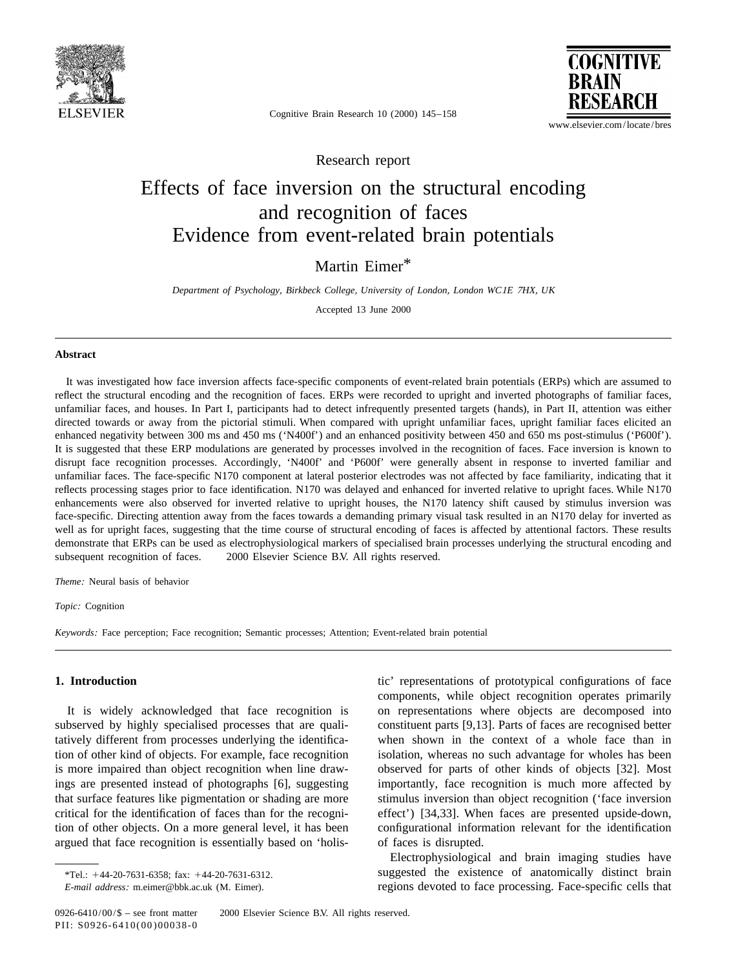

**COGNITIVE BRAIN** RESEARCH

www.elsevier.com/locate/bres

Cognitive Brain Research 10 (2000) 145–158

Research report

# Effects of face inversion on the structural encoding and recognition of faces Evidence from event-related brain potentials

### Martin Eimer\*

*Department of Psychology*, *Birkbeck College*, *University of London*, *London WC*1*E* <sup>7</sup>*HX*, *UK*

Accepted 13 June 2000

### **Abstract**

It was investigated how face inversion affects face-specific components of event-related brain potentials (ERPs) which are assumed to reflect the structural encoding and the recognition of faces. ERPs were recorded to upright and inverted photographs of familiar faces, unfamiliar faces, and houses. In Part I, participants had to detect infrequently presented targets (hands), in Part II, attention was either directed towards or away from the pictorial stimuli. When compared with upright unfamiliar faces, upright familiar faces elicited an enhanced negativity between 300 ms and 450 ms ('N400f') and an enhanced positivity between 450 and 650 ms post-stimulus ('P600f'). It is suggested that these ERP modulations are generated by processes involved in the recognition of faces. Face inversion is known to disrupt face recognition processes. Accordingly, 'N400f' and 'P600f' were generally absent in response to inverted familiar and unfamiliar faces. The face-specific N170 component at lateral posterior electrodes was not affected by face familiarity, indicating that it reflects processing stages prior to face identification. N170 was delayed and enhanced for inverted relative to upright faces. While N170 enhancements were also observed for inverted relative to upright houses, the N170 latency shift caused by stimulus inversion was face-specific. Directing attention away from the faces towards a demanding primary visual task resulted in an N170 delay for inverted as well as for upright faces, suggesting that the time course of structural encoding of faces is affected by attentional factors. These results demonstrate that ERPs can be used as electrophysiological markers of specialised brain processes underlying the structural encoding and subsequent recognition of faces.  $\circ$  2000 Elsevier Science B.V. All rights reserved.

*Theme*: Neural basis of behavior

*Topic*: Cognition

*Keywords*: Face perception; Face recognition; Semantic processes; Attention; Event-related brain potential

subserved by highly specialised processes that are quali- constituent parts [9,13]. Parts of faces are recognised better tatively different from processes underlying the identifica- when shown in the context of a whole face than in tion of other kind of objects. For example, face recognition isolation, whereas no such advantage for wholes has been is more impaired than object recognition when line draw- observed for parts of other kinds of objects [32]. Most ings are presented instead of photographs [6], suggesting importantly, face recognition is much more affected by that surface features like pigmentation or shading are more stimulus inversion than object recognition ('face inversion critical for the identification of faces than for the recogni- effect') [34,33]. When faces are presented upside-down, tion of other objects. On a more general level, it has been configurational information relevant for the identification argued that face recognition is essentially based on 'holis- of faces is disrupted.

**1. Introduction** tic' representations of prototypical configurations of face components, while object recognition operates primarily It is widely acknowledged that face recognition is on representations where objects are decomposed into

Electrophysiological and brain imaging studies have \*Tel.: <sup>1</sup>44-20-7631-6358; fax: <sup>1</sup>44-20-7631-6312. suggested the existence of anatomically distinct brain *E-mail address:* m.eimer@bbk.ac.uk (M. Eimer). regions devoted to face processing. Face-specific cells that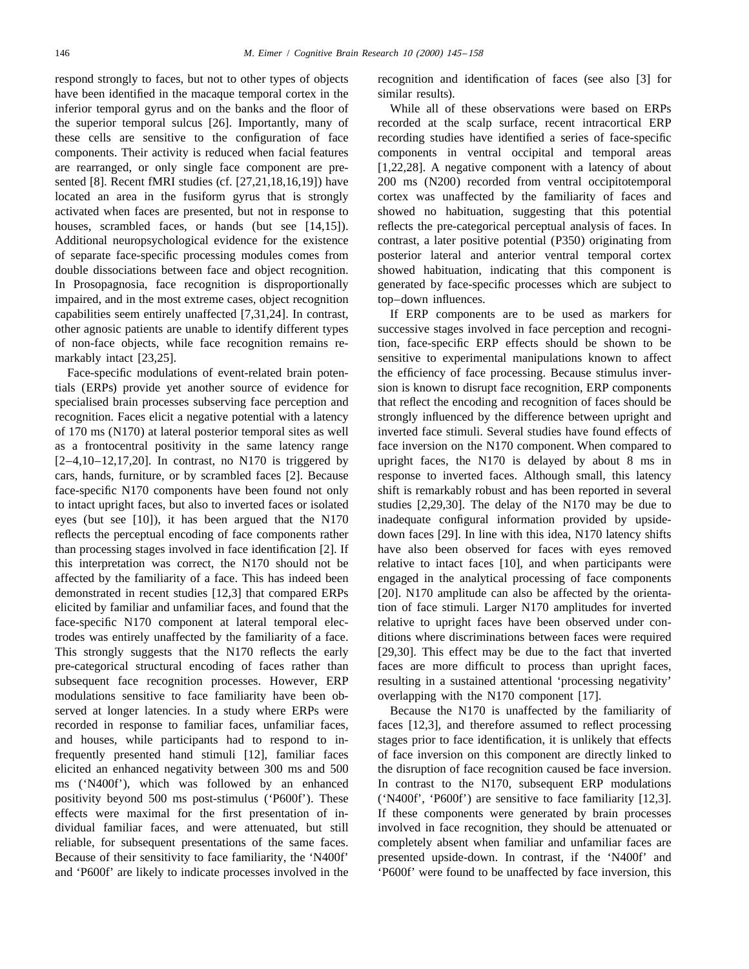respond strongly to faces, but not to other types of objects recognition and identification of faces (see also [3] for have been identified in the macaque temporal cortex in the similar results). inferior temporal gyrus and on the banks and the floor of While all of these observations were based on ERPs the superior temporal sulcus [26]. Importantly, many of recorded at the scalp surface, recent intracortical ERP these cells are sensitive to the configuration of face recording studies have identified a series of face-specific components. Their activity is reduced when facial features components in ventral occipital and temporal areas are rearranged, or only single face component are pre- [1,22,28]. A negative component with a latency of about sented [8]. Recent fMRI studies (cf. [27,21,18,16,19]) have 200 ms (N200) recorded from ventral occipitotemporal located an area in the fusiform gyrus that is strongly cortex was unaffected by the familiarity of faces and activated when faces are presented, but not in response to showed no habituation, suggesting that this potential houses, scrambled faces, or hands (but see [14,15]). reflects the pre-categorical perceptual analysis of faces. In Additional neuropsychological evidence for the existence contrast, a later positive potential (P350) originating from of separate face-specific processing modules comes from posterior lateral and anterior ventral temporal cortex double dissociations between face and object recognition. showed habituation, indicating that this component is In Prosopagnosia, face recognition is disproportionally generated by face-specific processes which are subject to impaired, and in the most extreme cases, object recognition top–down influences. capabilities seem entirely unaffected [7,31,24]. In contrast, If ERP components are to be used as markers for other agnosic patients are unable to identify different types successive stages involved in face perception and recogniof non-face objects, while face recognition remains re- tion, face-specific ERP effects should be shown to be markably intact [23,25]. Sensitive to experimental manipulations known to affect

tials (ERPs) provide yet another source of evidence for sion is known to disrupt face recognition, ERP components specialised brain processes subserving face perception and that reflect the encoding and recognition of faces should be recognition. Faces elicit a negative potential with a latency strongly influenced by the difference between upright and of 170 ms (N170) at lateral posterior temporal sites as well inverted face stimuli. Several studies have found effects of as a frontocentral positivity in the same latency range face inversion on the N170 component. When compared to [2–4,10–12,17,20]. In contrast, no N170 is triggered by upright faces, the N170 is delayed by about 8 ms in cars, hands, furniture, or by scrambled faces [2]. Because response to inverted faces. Although small, this latency face-specific N170 components have been found not only shift is remarkably robust and has been reported in several to intact upright faces, but also to inverted faces or isolated studies [2,29,30]. The delay of the N170 may be due to eyes (but see [10]), it has been argued that the N170 inadequate configural information provided by upsidereflects the perceptual encoding of face components rather down faces [29]. In line with this idea, N170 latency shifts than processing stages involved in face identification [2]. If have also been observed for faces with eyes removed this interpretation was correct, the N170 should not be relative to intact faces [10], and when participants were affected by the familiarity of a face. This has indeed been engaged in the analytical processing of face components demonstrated in recent studies [12,3] that compared ERPs [20]. N170 amplitude can also be affected by the orientaelicited by familiar and unfamiliar faces, and found that the tion of face stimuli. Larger N170 amplitudes for inverted face-specific N170 component at lateral temporal elec- relative to upright faces have been observed under controdes was entirely unaffected by the familiarity of a face. ditions where discriminations between faces were required This strongly suggests that the N170 reflects the early [29,30]. This effect may be due to the fact that inverted pre-categorical structural encoding of faces rather than faces are more difficult to process than upright faces, subsequent face recognition processes. However, ERP resulting in a sustained attentional 'processing negativity' modulations sensitive to face familiarity have been ob- overlapping with the N170 component [17]. served at longer latencies. In a study where ERPs were Because the N170 is unaffected by the familiarity of recorded in response to familiar faces, unfamiliar faces, faces [12,3], and therefore assumed to reflect processing and houses, while participants had to respond to in- stages prior to face identification, it is unlikely that effects frequently presented hand stimuli [12], familiar faces of face inversion on this component are directly linked to elicited an enhanced negativity between 300 ms and 500 the disruption of face recognition caused be face inversion. ms ('N400f'), which was followed by an enhanced In contrast to the N170, subsequent ERP modulations positivity beyond 500 ms post-stimulus ('P600f'). These ('N400f', 'P600f') are sensitive to face familiarity [12,3]. effects were maximal for the first presentation of in- If these components were generated by brain processes dividual familiar faces, and were attenuated, but still involved in face recognition, they should be attenuated or reliable, for subsequent presentations of the same faces. completely absent when familiar and unfamiliar faces are Because of their sensitivity to face familiarity, the 'N400f' presented upside-down. In contrast, if the 'N400f' and and 'P600f' are likely to indicate processes involved in the 'P600f' were found to be unaffected by face inversion, this

Face-specific modulations of event-related brain poten-<br>the efficiency of face processing. Because stimulus inver-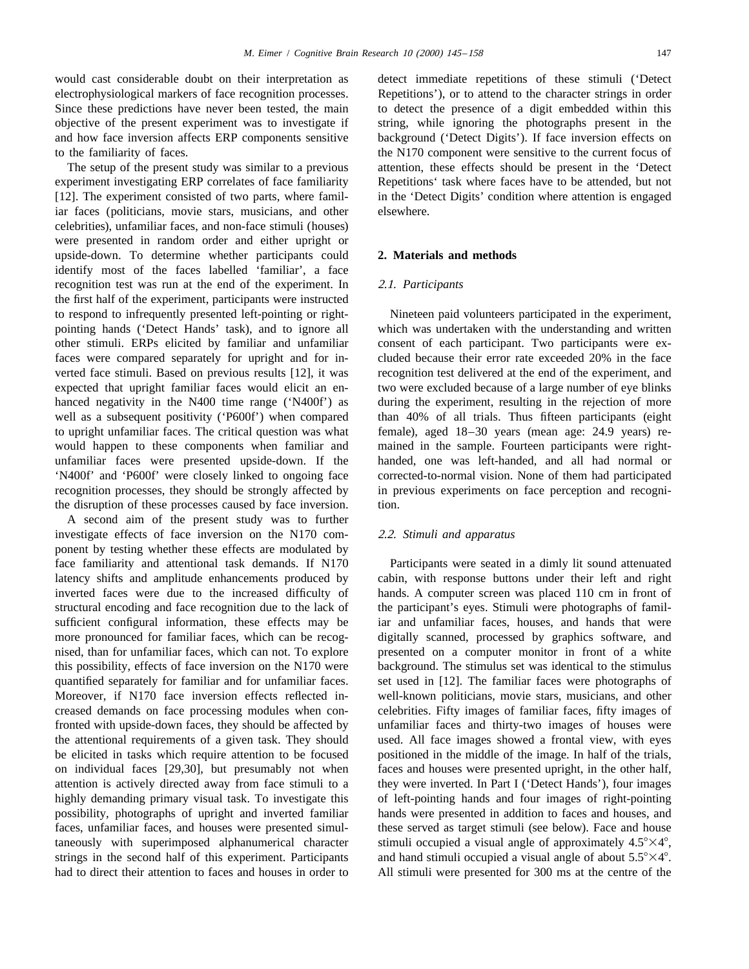would cast considerable doubt on their interpretation as detect immediate repetitions of these stimuli ('Detect electrophysiological markers of face recognition processes. Repetitions'), or to attend to the character strings in order Since these predictions have never been tested, the main to detect the presence of a digit embedded within this objective of the present experiment was to investigate if string, while ignoring the photographs present in the and how face inversion affects ERP components sensitive background ('Detect Digits'). If face inversion effects on to the familiarity of faces. the N170 component were sensitive to the current focus of

experiment investigating ERP correlates of face familiarity Repetitions' task where faces have to be attended, but not [12]. The experiment consisted of two parts, where famil- in the 'Detect Digits' condition where attention is engaged iar faces (politicians, movie stars, musicians, and other elsewhere. celebrities), unfamiliar faces, and non-face stimuli (houses) were presented in random order and either upright or upside-down. To determine whether participants could **2. Materials and methods** identify most of the faces labelled 'familiar', a face recognition test was run at the end of the experiment. In 2.1. *Participants* the first half of the experiment, participants were instructed to respond to infrequently presented left-pointing or right- Nineteen paid volunteers participated in the experiment, pointing hands ('Detect Hands' task), and to ignore all which was undertaken with the understanding and written other stimuli. ERPs elicited by familiar and unfamiliar consent of each participant. Two participants were exfaces were compared separately for upright and for in- cluded because their error rate exceeded 20% in the face verted face stimuli. Based on previous results [12], it was recognition test delivered at the end of the experiment, and expected that upright familiar faces would elicit an en- two were excluded because of a large number of eye blinks hanced negativity in the N400 time range ('N400f') as during the experiment, resulting in the rejection of more well as a subsequent positivity ('P600f') when compared than 40% of all trials. Thus fifteen participants (eight to upright unfamiliar faces. The critical question was what female), aged 18–30 years (mean age: 24.9 years) rewould happen to these components when familiar and mained in the sample. Fourteen participants were rightunfamiliar faces were presented upside-down. If the handed, one was left-handed, and all had normal or 'N400f' and 'P600f' were closely linked to ongoing face corrected-to-normal vision. None of them had participated recognition processes, they should be strongly affected by in previous experiments on face perception and recognithe disruption of these processes caused by face inversion. tion.

A second aim of the present study was to further investigate effects of face inversion on the N170 com- 2.2. *Stimuli and apparatus* ponent by testing whether these effects are modulated by face familiarity and attentional task demands. If N170 Participants were seated in a dimly lit sound attenuated latency shifts and amplitude enhancements produced by cabin, with response buttons under their left and right inverted faces were due to the increased difficulty of hands. A computer screen was placed 110 cm in front of structural encoding and face recognition due to the lack of the participant's eyes. Stimuli were photographs of familsufficient configural information, these effects may be iar and unfamiliar faces, houses, and hands that were more pronounced for familiar faces, which can be recog- digitally scanned, processed by graphics software, and nised, than for unfamiliar faces, which can not. To explore presented on a computer monitor in front of a white this possibility, effects of face inversion on the N170 were background. The stimulus set was identical to the stimulus quantified separately for familiar and for unfamiliar faces. set used in [12]. The familiar faces were photographs of Moreover, if N170 face inversion effects reflected in-<br>well-known politicians, movie stars, musicians, and other creased demands on face processing modules when con- celebrities. Fifty images of familiar faces, fifty images of fronted with upside-down faces, they should be affected by unfamiliar faces and thirty-two images of houses were the attentional requirements of a given task. They should used. All face images showed a frontal view, with eyes be elicited in tasks which require attention to be focused positioned in the middle of the image. In half of the trials, on individual faces [29,30], but presumably not when faces and houses were presented upright, in the other half, attention is actively directed away from face stimuli to a they were inverted. In Part I ('Detect Hands'), four images highly demanding primary visual task. To investigate this of left-pointing hands and four images of right-pointing possibility, photographs of upright and inverted familiar hands were presented in addition to faces and houses, and faces, unfamiliar faces, and houses were presented simul- these served as target stimuli (see below). Face and house taneously with superimposed alphanumerical character stimuli occupied a visual angle of approximately  $4.5^{\circ} \times 4^{\circ}$ , strings in the second half of this experiment. Participants and hand stimuli occupied a visual angle of about  $5.5^{\circ} \times 4^{\circ}$ . had to direct their attention to faces and houses in order to All stimuli were presented for 300 ms at the centre of the

The setup of the present study was similar to a previous attention, these effects should be present in the 'Detect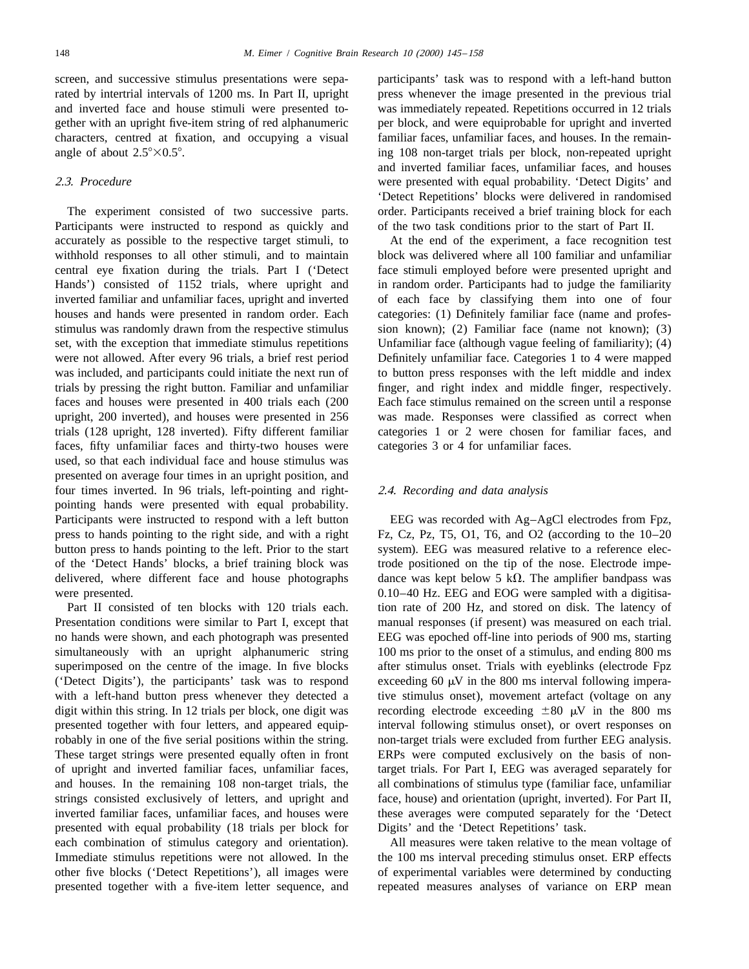rated by intertrial intervals of 1200 ms. In Part II, upright press whenever the image presented in the previous trial and inverted face and house stimuli were presented to- was immediately repeated. Repetitions occurred in 12 trials gether with an upright five-item string of red alphanumeric per block, and were equiprobable for upright and inverted characters, centred at fixation, and occupying a visual familiar faces, unfamiliar faces, and houses. In the remainangle of about  $2.5^{\circ} \times 0.5^{\circ}$ . ing 108 non-target trials per block, non-repeated upright

Participants were instructed to respond as quickly and of the two task conditions prior to the start of Part II. accurately as possible to the respective target stimuli, to At the end of the experiment, a face recognition test withhold responses to all other stimuli, and to maintain block was delivered where all 100 familiar and unfamiliar central eye fixation during the trials. Part I ('Detect face stimuli employed before were presented upright and Hands') consisted of 1152 trials, where upright and in random order. Participants had to judge the familiarity inverted familiar and unfamiliar faces, upright and inverted of each face by classifying them into one of four houses and hands were presented in random order. Each categories: (1) Definitely familiar face (name and professtimulus was randomly drawn from the respective stimulus sion known); (2) Familiar face (name not known); (3) set, with the exception that immediate stimulus repetitions Unfamiliar face (although vague feeling of familiarity); (4) were not allowed. After every 96 trials, a brief rest period Definitely unfamiliar face. Categories 1 to 4 were mapped was included, and participants could initiate the next run of to button press responses with the left middle and index trials by pressing the right button. Familiar and unfamiliar finger, and right index and middle finger, respectively. faces and houses were presented in 400 trials each (200 Each face stimulus remained on the screen until a response upright, 200 inverted), and houses were presented in 256 was made. Responses were classified as correct when trials (128 upright, 128 inverted). Fifty different familiar categories 1 or 2 were chosen for familiar faces, and faces, fifty unfamiliar faces and thirty-two houses were categories 3 or 4 for unfamiliar faces. used, so that each individual face and house stimulus was presented on average four times in an upright position, and four times inverted. In 96 trials, left-pointing and right- 2.4. *Recording and data analysis* pointing hands were presented with equal probability. Participants were instructed to respond with a left button EEG was recorded with Ag–AgCl electrodes from Fpz, press to hands pointing to the right side, and with a right Fz, Cz, Pz, T5, O1, T6, and O2 (according to the 10–20 button press to hands pointing to the left. Prior to the start system). EEG was measured relative to a reference elecof the 'Detect Hands' blocks, a brief training block was trode positioned on the tip of the nose. Electrode impedelivered, where different face and house photographs dance was kept below 5 k $\Omega$ . The amplifier bandpass was were presented.  $0.10-40$  Hz. EEG and EOG were sampled with a digitisa-

Presentation conditions were similar to Part I, except that manual responses (if present) was measured on each trial. no hands were shown, and each photograph was presented EEG was epoched off-line into periods of 900 ms, starting simultaneously with an upright alphanumeric string 100 ms prior to the onset of a stimulus, and ending 800 ms superimposed on the centre of the image. In five blocks after stimulus onset. Trials with eyeblinks (electrode Fpz ('Detect Digits'), the participants' task was to respond exceeding 60  $\mu$ V in the 800 ms interval following imperawith a left-hand button press whenever they detected a tive stimulus onset), movement artefact (voltage on any digit within this string. In 12 trials per block, one digit was recording electrode exceeding  $\pm 80 \mu V$  in the 800 ms presented together with four letters, and appeared equip- interval following stimulus onset), or overt responses on robably in one of the five serial positions within the string. non-target trials were excluded from further EEG analysis. These target strings were presented equally often in front ERPs were computed exclusively on the basis of nonof upright and inverted familiar faces, unfamiliar faces, target trials. For Part I, EEG was averaged separately for and houses. In the remaining 108 non-target trials, the all combinations of stimulus type (familiar face, unfamiliar strings consisted exclusively of letters, and upright and face, house) and orientation (upright, inverted). For Part II, inverted familiar faces, unfamiliar faces, and houses were these averages were computed separately for the 'Detect presented with equal probability (18 trials per block for Digits' and the 'Detect Repetitions' task. each combination of stimulus category and orientation). All measures were taken relative to the mean voltage of Immediate stimulus repetitions were not allowed. In the the 100 ms interval preceding stimulus onset. ERP effects other five blocks ('Detect Repetitions'), all images were of experimental variables were determined by conducting presented together with a five-item letter sequence, and repeated measures analyses of variance on ERP mean

screen, and successive stimulus presentations were sepa- participants' task was to respond with a left-hand button and inverted familiar faces, unfamiliar faces, and houses 2.3. *Procedure* were presented with equal probability. 'Detect Digits' and 'Detect Repetitions' blocks were delivered in randomised The experiment consisted of two successive parts. order. Participants received a brief training block for each

Part II consisted of ten blocks with 120 trials each. tion rate of 200 Hz, and stored on disk. The latency of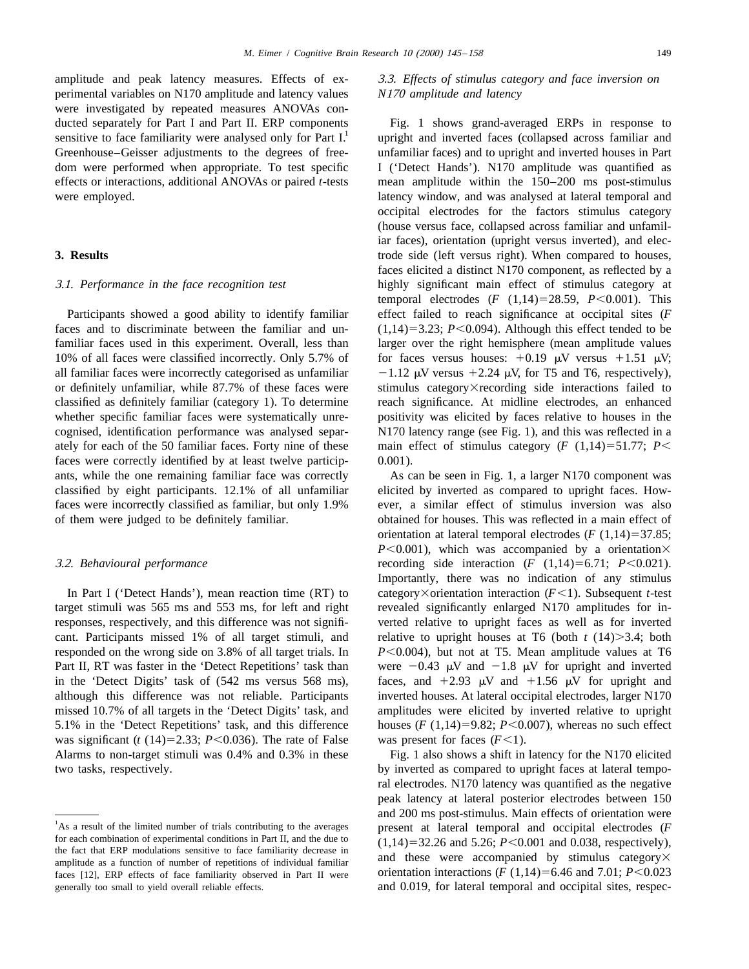amplitude and peak latency measures. Effects of ex- 3.3. *Effects of stimulus category and face inversion on* perimental variables on N170 amplitude and latency values *N*<sup>170</sup> *amplitude and latency* were investigated by repeated measures ANOVAs conducted separately for Part I and Part II. ERP components Fig. 1 shows grand-averaged ERPs in response to sensitive to face familiarity were analysed only for Part I.<sup>1</sup> upright and inverted faces (collapsed across familiar

faces and to discriminate between the familiar and un-  $(1,14)=3.23; P<0.094$ ). Although this effect tended to be familiar faces used in this experiment. Overall, less than larger over the right hemisphere (mean amplitude values 10% of all faces were classified incorrectly. Only 5.7% of for faces versus houses:  $+0.19 \mu V$  versus  $+1.51 \mu V$ ; all familiar faces were incorrectly categorised as unfamiliar  $-1.12 \mu V$  versus  $+2.24 \mu V$ , for T5 and T6, respectively), or definitely unfamiliar, while 87.7% of these faces were stimulus category×recording side interactions failed to classified as definitely familiar (category 1). To determine reach significance. At midline electrodes, an enhanced whether specific familiar faces were systematically unre-<br>positivity was elicited by faces relative to houses in the cognised, identification performance was analysed separ- N170 latency range (see Fig. 1), and this was reflected in a ately for each of the 50 familiar faces. Forty nine of these main effect of stimulus category  $(F(1,14)=51.77; P<$ faces were correctly identified by at least twelve particip-  $0.001$ ). ants, while the one remaining familiar face was correctly As can be seen in Fig. 1, a larger N170 component was classified by eight participants. 12.1% of all unfamiliar elicited by inverted as compared to upright faces. Howfaces were incorrectly classified as familiar, but only 1.9% ever, a similar effect of stimulus inversion was also of them were judged to be definitely familiar. obtained for houses. This was reflected in a main effect of

was significant ( $t$  (14)=2.33;  $P$ <0.036). The rate of False was present for faces ( $F$ <1). Alarms to non-target stimuli was 0.4% and 0.3% in these Fig. 1 also shows a shift in latency for the N170 elicited two tasks, respectively. by inverted as compared to upright faces at lateral tempo-

Greenhouse–Geisser adjustments to the degrees of free- unfamiliar faces) and to upright and inverted houses in Part dom were performed when appropriate. To test specific I ('Detect Hands'). N170 amplitude was quantified as effects or interactions, additional ANOVAs or paired *t*-tests mean amplitude within the 150–200 ms post-stimulus were employed. **latency window**, and was analysed at lateral temporal and occipital electrodes for the factors stimulus category (house versus face, collapsed across familiar and unfamiliar faces), orientation (upright versus inverted), and elec-**3. Results** trode side (left versus right). When compared to houses, faces elicited a distinct N170 component, as reflected by a 3.1. *Performance in the face recognition test* highly significant main effect of stimulus category at temporal electrodes  $(F (1,14)=28.59, P<0.001)$ . This Participants showed a good ability to identify familiar effect failed to reach significance at occipital sites (*F* 

orientation at lateral temporal electrodes  $(F(1,14)=37.85;$  $P<0.001$ ), which was accompanied by a orientation $\times$ 3.2. *Behavioural performance* recording side interaction (*F* (1,14)=6.71; *P*<0.021). Importantly, there was no indication of any stimulus In Part I ('Detect Hands'), mean reaction time  $(RT)$  to category×orientation interaction  $(F<1)$ . Subsequent *t*-test target stimuli was 565 ms and 553 ms, for left and right revealed significantly enlarged N170 amplitudes for inresponses, respectively, and this difference was not signifi- verted relative to upright faces as well as for inverted cant. Participants missed 1% of all target stimuli, and relative to upright houses at T6 (both  $t$  (14) $>3.4$ ; both responded on the wrong side on 3.8% of all target trials. In *P*<0.004), but not at T5. Mean amplitude values at T6 Part II, RT was faster in the 'Detect Repetitions' task than were  $-0.43 \mu V$  and  $-1.8 \mu V$  for upright and inverted in the 'Detect Digits' task of (542 ms versus 568 ms), faces, and  $+2.93 \mu\text{V}$  and  $+1.56 \mu\text{V}$  for upright and although this difference was not reliable. Participants inverted houses. At lateral occipital electrodes, larger N170 missed 10.7% of all targets in the 'Detect Digits' task, and amplitudes were elicited by inverted relative to upright 5.1% in the 'Detect Repetitions' task, and this difference houses  $(F(1,14)=9.82; P<0.007)$ , whereas no such effect

ral electrodes. N170 latency was quantified as the negative peak latency at lateral posterior electrodes between 150 and 200 ms post-stimulus. Main effects of orientation were<br><sup>1</sup>As a result of the limited number of trials contributing to the averages present at lateral temporal and occipital electrodes (*F* 

As a result of the limited number of trials contributing to the averages present at lateral temporal and occipital electrodes (*F* for each combination of experimental conditions in Part II, and the due to  $(1.14) = 32.26$ for each combination of experimental conditions in Part II, and the due to  $(1,14)=32.26$  and 5.26;  $P<0.001$  and 0.038, respectively), the fact that ERP modulations sensitive to face familiarity decrease in amplitude as a function of number of repetitions of individual familiar and these were accompanied by stimulus category $\times$ faces [12], ERP effects of face familiarity observed in Part II were orientation interactions  $(F (1,14)=6.46$  and  $7.01; P<0.023$ generally too small to yield overall reliable effects. and 0.019, for lateral temporal and occipital sites, respec-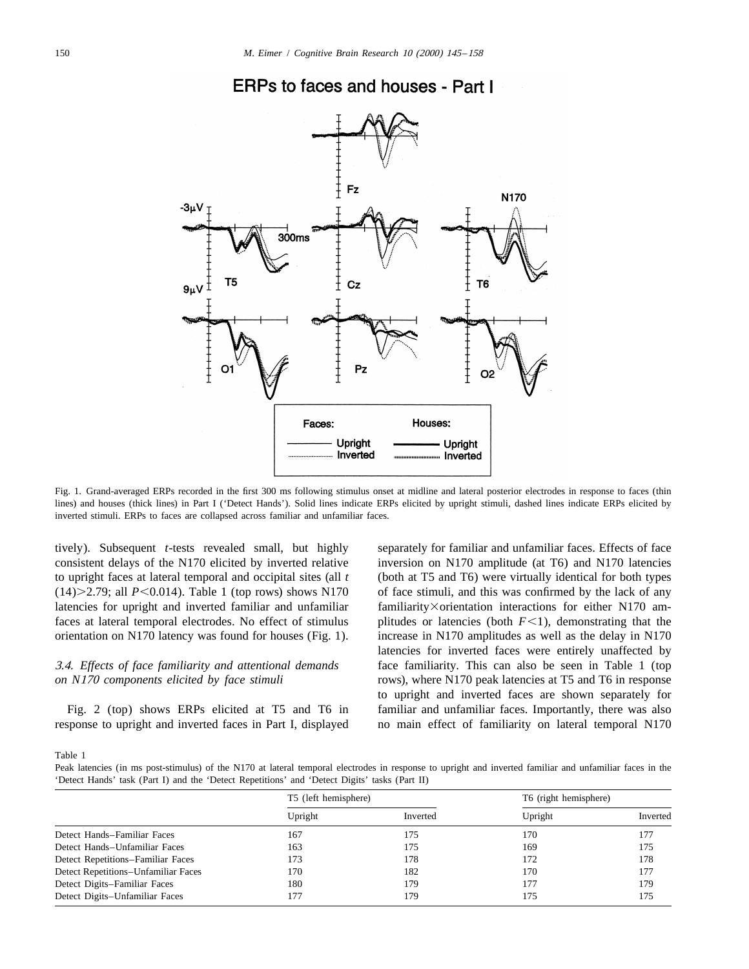

## ERPs to faces and houses - Part I

Fig. 1. Grand-averaged ERPs recorded in the first 300 ms following stimulus onset at midline and lateral posterior electrodes in response to faces (thin lines) and houses (thick lines) in Part I ('Detect Hands'). Solid lines indicate ERPs elicited by upright stimuli, dashed lines indicate ERPs elicited by inverted stimuli. ERPs to faces are collapsed across familiar and unfamiliar faces.

consistent delays of the N170 elicited by inverted relative inversion on N170 amplitude (at T6) and N170 latencies to upright faces at lateral temporal and occipital sites (all *t* (both at T5 and T6) were virtually identical for both types  $(14)$  $>$ 2.79; all *P*<0.014). Table 1 (top rows) shows N170 of face stimuli, and this was confirmed by the lack of any latencies for upright and inverted familiar and unfamiliar familiarity×orientation interactions for either N170 amfaces at lateral temporal electrodes. No effect of stimulus plitudes or latencies (both  $F<1$ ), demonstrating that the orientation on N170 latency was found for houses (Fig. 1). increase in N170 amplitudes as well as the delay in N170

response to upright and inverted faces in Part I, displayed no main effect of familiarity on lateral temporal N170

tively). Subsequent *t*-tests revealed small, but highly separately for familiar and unfamiliar faces. Effects of face latencies for inverted faces were entirely unaffected by 3.4. *Effects of face familiarity and attentional demands* face familiarity. This can also be seen in Table 1 (top *on N*<sup>170</sup> *components elicited by face stimuli* rows), where N170 peak latencies at T5 and T6 in response to upright and inverted faces are shown separately for Fig. 2 (top) shows ERPs elicited at T5 and T6 in familiar and unfamiliar faces. Importantly, there was also

Table 1

Peak latencies (in ms post-stimulus) of the N170 at lateral temporal electrodes in response to upright and inverted familiar and unfamiliar faces in the 'Detect Hands' task (Part I) and the 'Detect Repetitions' and 'Detect Digits' tasks (Part II)

|                                     | T5 (left hemisphere) |          | T6 (right hemisphere) |          |
|-------------------------------------|----------------------|----------|-----------------------|----------|
|                                     | Upright              | Inverted | Upright               | Inverted |
| Detect Hands-Familiar Faces         | 167                  | 175      | 170                   | 177      |
| Detect Hands-Unfamiliar Faces       | 163                  | 175      | 169                   | 175      |
| Detect Repetitions-Familiar Faces   | 173                  | 178      | 172                   | 178      |
| Detect Repetitions-Unfamiliar Faces | 170                  | 182      | 170                   | 177      |
| Detect Digits-Familiar Faces        | 180                  | 179      | 177                   | 179      |
| Detect Digits-Unfamiliar Faces      |                      | 179      | 175                   | 175      |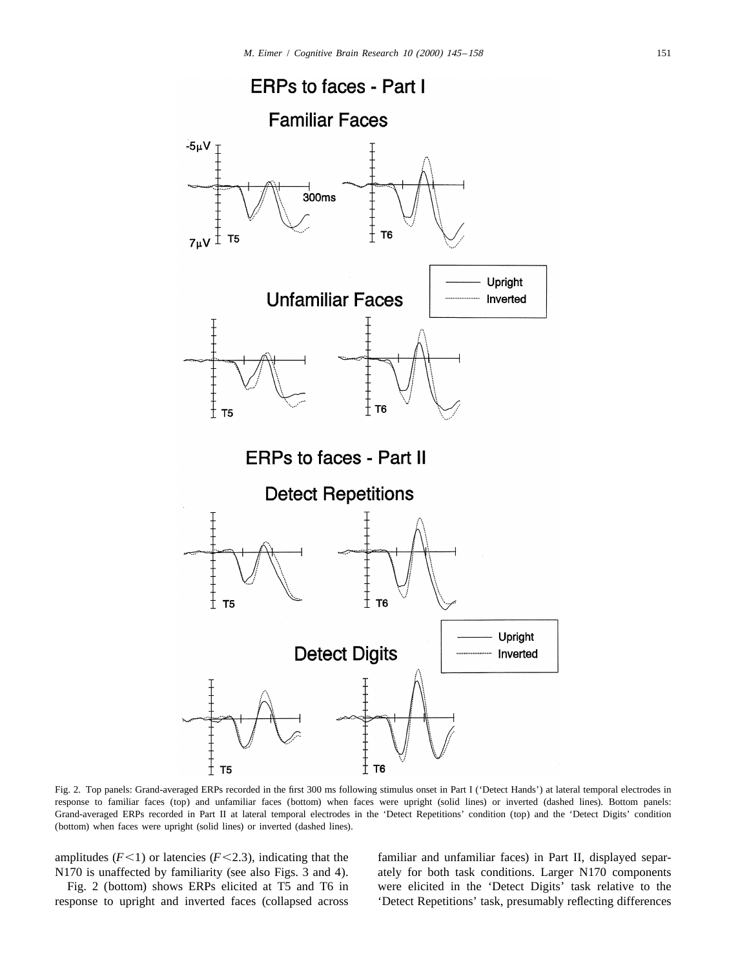

Fig. 2. Top panels: Grand-averaged ERPs recorded in the first 300 ms following stimulus onset in Part I ('Detect Hands') at lateral temporal electrodes in response to familiar faces (top) and unfamiliar faces (bottom) when faces were upright (solid lines) or inverted (dashed lines). Bottom panels: Grand-averaged ERPs recorded in Part II at lateral temporal electrodes in the 'Detect Repetitions' condition (top) and the 'Detect Digits' condition (bottom) when faces were upright (solid lines) or inverted (dashed lines).

amplitudes  $(F<1)$  or latencies  $(F<2.3)$ , indicating that the familiar and unfamiliar faces) in Part II, displayed separ-N170 is unaffected by familiarity (see also Figs. 3 and 4). ately for both task conditions. Larger N170 components

response to upright and inverted faces (collapsed across 'Detect Repetitions' task, presumably reflecting differences

Fig. 2 (bottom) shows ERPs elicited at T5 and T6 in were elicited in the 'Detect Digits' task relative to the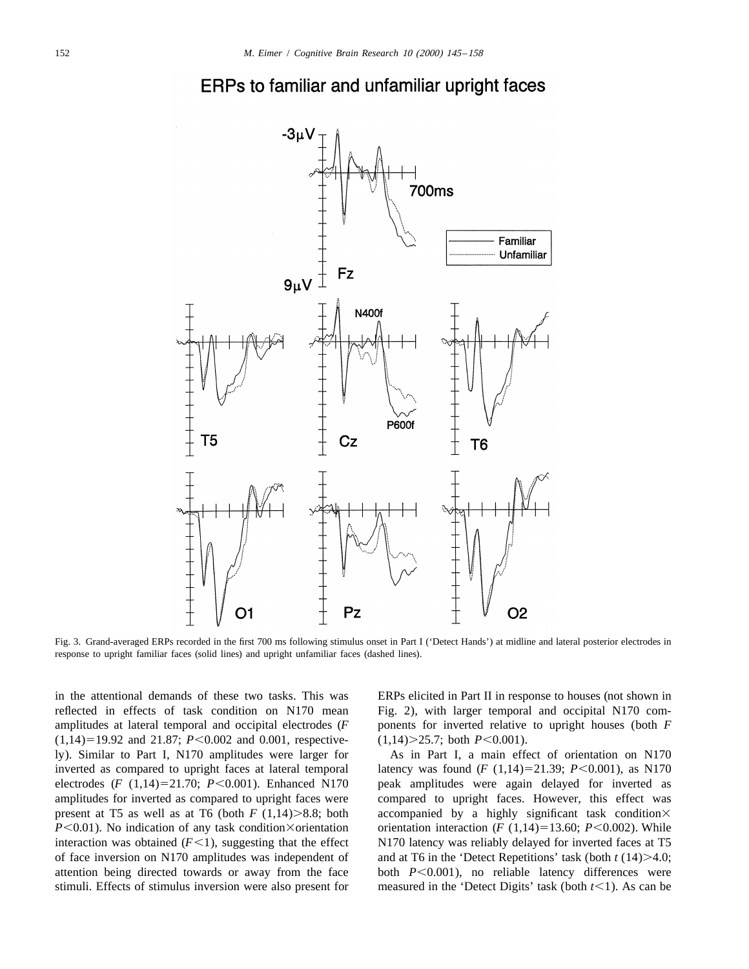



Fig. 3. Grand-averaged ERPs recorded in the first 700 ms following stimulus onset in Part I ('Detect Hands') at midline and lateral posterior electrodes in response to upright familiar faces (solid lines) and upright unfamiliar faces (dashed lines).

reflected in effects of task condition on N170 mean Fig. 2), with larger temporal and occipital N170 comamplitudes at lateral temporal and occipital electrodes (*F* ponents for inverted relative to upright houses (both *F*  $(1,14)=19.92$  and  $21.87$ ;  $P<0.002$  and 0.001, respective-  $(1,14)$   $\geq$ 25.7; both  $P<0.001$ ). ly). Similar to Part I, N170 amplitudes were larger for As in Part I, a main effect of orientation on N170 inverted as compared to upright faces at lateral temporal latency was found  $(F(1,14)=21.39; P<0.001)$ , as N170 electrodes  $(F (1,14)=21.70; P<0.001)$ . Enhanced N170 peak amplitudes were again delayed for inverted as amplitudes for inverted as compared to upright faces were compared to upright faces. However, this effect was present at T5 as well as at T6 (both *F* (1,14) $>8.8$ ; both accompanied by a highly significant task condition $\times$ *P*<0.01). No indication of any task condition  $\times$ orientation orientation interaction (*F* (1,14)=13.60; *P*<0.002). While interaction was obtained  $(F<1)$ , suggesting that the effect  $N170$  latency was reliably delayed for inverted faces at T5 of face inversion on N170 amplitudes was independent of and at T6 in the 'Detect Repetitions' task (both  $t(14)$  >4.0; attention being directed towards or away from the face both  $P<0.001$ ), no reliable latency differences were

in the attentional demands of these two tasks. This was ERPs elicited in Part II in response to houses (not shown in

stimuli. Effects of stimulus inversion were also present for measured in the 'Detect Digits' task (both  $t \leq 1$ ). As can be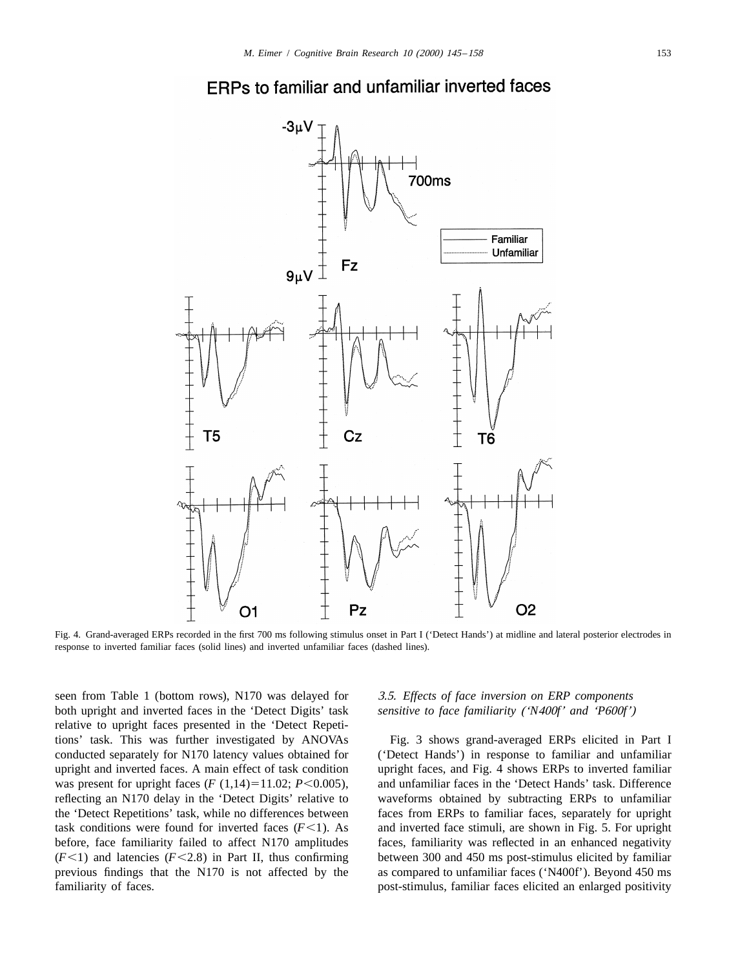



Fig. 4. Grand-averaged ERPs recorded in the first 700 ms following stimulus onset in Part I ('Detect Hands') at midline and lateral posterior electrodes in response to inverted familiar faces (solid lines) and inverted unfamiliar faces (dashed lines).

seen from Table 1 (bottom rows), N170 was delayed for 3.5. *Effects of face inversion on ERP components* both upright and inverted faces in the 'Detect Digits' task *sensitive to face familiarity* ('*N*400*f*' *and* '*P*600*f*') relative to upright faces presented in the 'Detect Repetitions' task. This was further investigated by ANOVAs Fig. 3 shows grand-averaged ERPs elicited in Part I conducted separately for N170 latency values obtained for ('Detect Hands') in response to familiar and unfamiliar upright and inverted faces. A main effect of task condition upright faces, and Fig. 4 shows ERPs to inverted familiar was present for upright faces  $(F(1,14)=11.02; P<0.005)$ , and unfamiliar faces in the 'Detect Hands' task. Difference reflecting an N170 delay in the 'Detect Digits' relative to waveforms obtained by subtracting ERPs to unfamiliar the 'Detect Repetitions' task, while no differences between faces from ERPs to familiar faces, separately for upright task conditions were found for inverted faces  $(F<1)$ . As and inverted face stimuli, are shown in Fig. 5. For upright before, face familiarity failed to affect N170 amplitudes faces, familiarity was reflected in an enhanced negativity  $(F<1)$  and latencies  $(F<2.8)$  in Part II, thus confirming between 300 and 450 ms post-stimulus elicited by familiar previous findings that the N170 is not affected by the as compared to unfamiliar faces ('N400f'). Beyond 450 ms familiarity of faces. **post-stimulus**, familiar faces elicited an enlarged positivity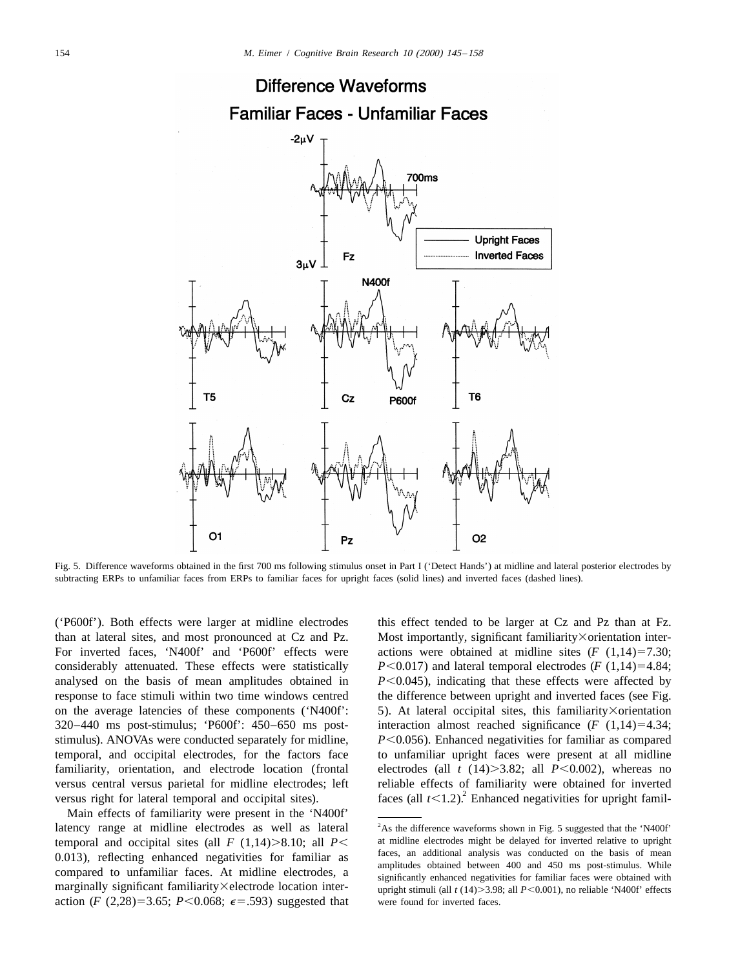

Fig. 5. Difference waveforms obtained in the first 700 ms following stimulus onset in Part I ('Detect Hands') at midline and lateral posterior electrodes by subtracting ERPs to unfamiliar faces from ERPs to familiar faces for upright faces (solid lines) and inverted faces (dashed lines).

than at lateral sites, and most pronounced at Cz and Pz. Most importantly, significant familiarity×orientation inter-For inverted faces, 'N400f' and 'P600f' effects were actions were obtained at midline sites  $(F (1,14)=7.30;$ considerably attenuated. These effects were statistically  $P \le 0.017$ ) and lateral temporal electrodes ( $F(1,14)=4.84$ ; analysed on the basis of mean amplitudes obtained in  $P \leq 0.045$ ), indicating that these effects were affected by response to face stimuli within two time windows centred the difference between upright and inverted faces (see Fig. on the average latencies of these components ('N400f': 5). At lateral occipital sites, this familiarity×orientation 320–440 ms post-stimulus; 'P600f':  $450-650$  ms post- interaction almost reached significance ( $F(1,14)=4.34$ ; stimulus). ANOVAs were conducted separately for midline,  $P \le 0.056$ ). Enhanced negativities for familiar as compared temporal, and occipital electrodes, for the factors face to unfamiliar upright faces were present at all midline familiarity, orientation, and electrode location (frontal electrodes (all  $t$  (14) $>3.82$ ; all  $P<0.002$ ), whereas no versus central versus parietal for midline electrodes; left reliable effects of familiarity were obtained for inverted versus right for lateral temporal and occipital sites).  $\frac{1}{2}$  faces (all  $t \le 1.2$ ). Enhanced nega

Main effects of familiarity were present in the 'N400f' latency range at midline electrodes as well as lateral <sup>2</sup>As the difference waveforms shown in Fig. 5 suggested that the 'N400f' action (*F* (2,28)=3.65; *P*<0.068;  $\epsilon$ =.593) suggested that were found for inverted faces.

('P600f'). Both effects were larger at midline electrodes this effect tended to be larger at Cz and Pz than at Fz.

temporal and occipital sites (all  $F(1,14) > 8.10$ ; all  $P <$  at midline electrodes might be delayed for inverted relative to upright the number of the pass of mean of the pass of mean the pass of mean the pass of mean the 0.013), reflecting enhanced negativities for familiar as annulism analysis was conducted on the basis of mean<br>compared to unfamiliar faces. At midline electrodes, a significantly enhanced negativities for familiar faces we marginally significant familiarity×electrode location inter- upright stimuli (all *t* (14)>3.98; all *P*<0.001), no reliable 'N400f' effects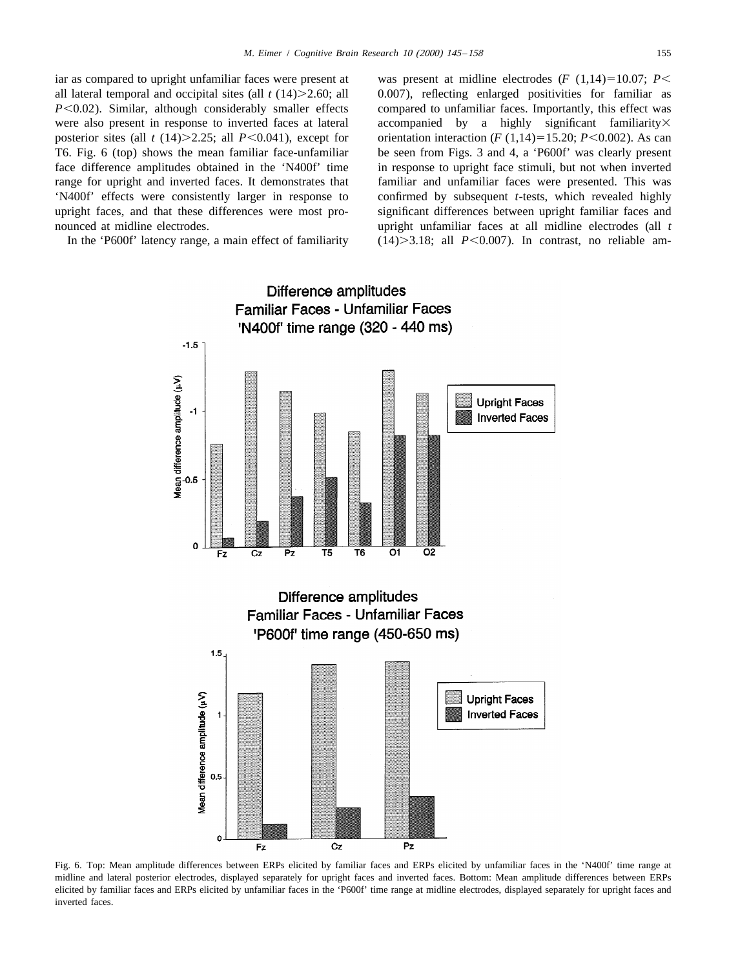*P*<0.02). Similar, although considerably smaller effects compared to unfamiliar faces. Importantly, this effect was were also present in response to inverted faces at lateral accompanied by a highly significant familiarity× posterior sites (all *t* (14) > 2.25; all *P*<0.041), except for orientation interaction (*F* (1,14) = 15.20; *P*<0.002). As can

iar as compared to upright unfamiliar faces were present at was present at midline electrodes  $(F (1,14)=10.07; P<$ all lateral temporal and occipital sites (all  $t(14)$   $\geq$  2.60; all 0.007), reflecting enlarged positivities for familiar as T6. Fig. 6 (top) shows the mean familiar face-unfamiliar be seen from Figs. 3 and 4, a 'P600f' was clearly present face difference amplitudes obtained in the 'N400f' time in response to upright face stimuli, but not when inverted range for upright and inverted faces. It demonstrates that familiar and unfamiliar faces were presented. This was 'N400f' effects were consistently larger in response to confirmed by subsequent *t*-tests, which revealed highly upright faces, and that these differences were most pro- significant differences between upright familiar faces and nounced at midline electrodes. upright unfamiliar faces at all midline electrodes (all *t* In the 'P600f' latency range, a main effect of familiarity  $(14)$  > 3.18; all *P*<0.007). In contrast, no reliable am-



Fig. 6. Top: Mean amplitude differences between ERPs elicited by familiar faces and ERPs elicited by unfamiliar faces in the 'N400f' time range at midline and lateral posterior electrodes, displayed separately for upright faces and inverted faces. Bottom: Mean amplitude differences between ERPs elicited by familiar faces and ERPs elicited by unfamiliar faces in the 'P600f' time range at midline electrodes, displayed separately for upright faces and inverted faces.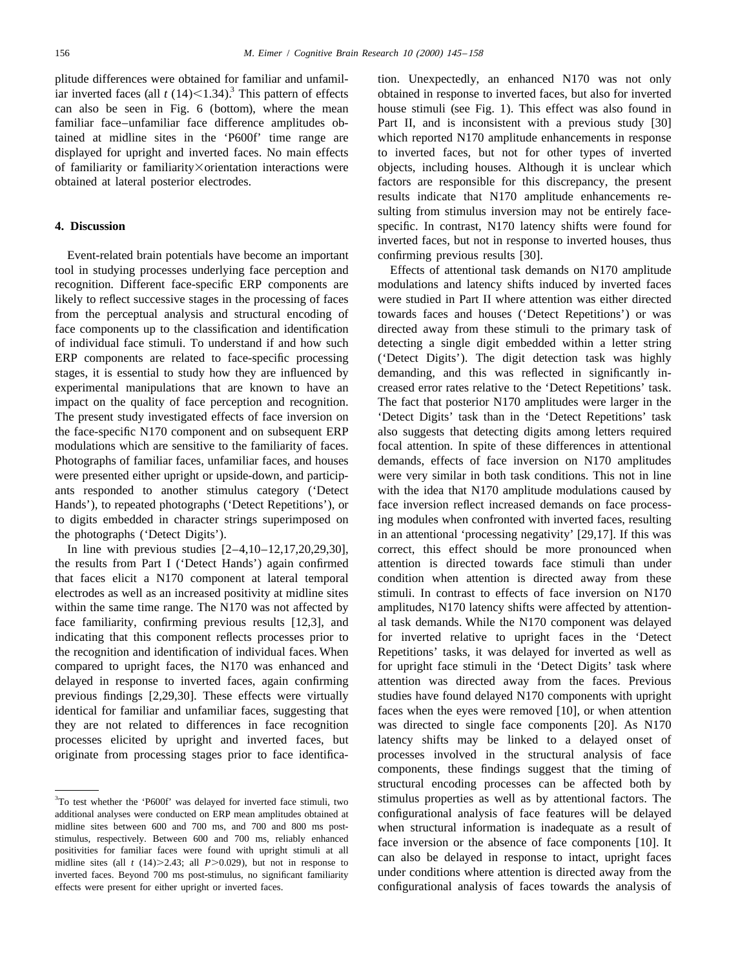plitude differences were obtained for familiar and unfamil-<br>ion. Unexpectedly, an enhanced N170 was not only iar inverted faces (all  $t$  (14)<1.34).<sup>3</sup> This pattern of effects obtained in response to inverted faces, but a

Event-related brain potentials have become an important confirming previous results [30]. tool in studying processes underlying face perception and Effects of attentional task demands on N170 amplitude recognition. Different face-specific ERP components are modulations and latency shifts induced by inverted faces likely to reflect successive stages in the processing of faces were studied in Part II where attention was either directed from the perceptual analysis and structural encoding of towards faces and houses ('Detect Repetitions') or was face components up to the classification and identification directed away from these stimuli to the primary task of of individual face stimuli. To understand if and how such detecting a single digit embedded within a letter string ERP components are related to face-specific processing ('Detect Digits'). The digit detection task was highly stages, it is essential to study how they are influenced by demanding, and this was reflected in significantly inexperimental manipulations that are known to have an creased error rates relative to the 'Detect Repetitions' task. impact on the quality of face perception and recognition. The fact that posterior N170 amplitudes were larger in the The present study investigated effects of face inversion on 'Detect Digits' task than in the 'Detect Repetitions' task the face-specific N170 component and on subsequent ERP also suggests that detecting digits among letters required modulations which are sensitive to the familiarity of faces. focal attention. In spite of these differences in attentional Photographs of familiar faces, unfamiliar faces, and houses demands, effects of face inversion on N170 amplitudes were presented either upright or upside-down, and particip- were very similar in both task conditions. This not in line ants responded to another stimulus category ('Detect with the idea that N170 amplitude modulations caused by Hands'), to repeated photographs ('Detect Repetitions'), or face inversion reflect increased demands on face processto digits embedded in character strings superimposed on ing modules when confronted with inverted faces, resulting the photographs ('Detect Digits'). in an attentional 'processing negativity' [29,17]. If this was

the results from Part I ('Detect Hands') again confirmed attention is directed towards face stimuli than under that faces elicit a N170 component at lateral temporal condition when attention is directed away from these electrodes as well as an increased positivity at midline sites stimuli. In contrast to effects of face inversion on N170 within the same time range. The N170 was not affected by amplitudes, N170 latency shifts were affected by attentionface familiarity, confirming previous results [12,3], and al task demands. While the N170 component was delayed indicating that this component reflects processes prior to for inverted relative to upright faces in the 'Detect the recognition and identification of individual faces. When Repetitions' tasks, it was delayed for inverted as well as compared to upright faces, the N170 was enhanced and for upright face stimuli in the 'Detect Digits' task where delayed in response to inverted faces, again confirming attention was directed away from the faces. Previous previous findings [2,29,30]. These effects were virtually studies have found delayed N170 components with upright identical for familiar and unfamiliar faces, suggesting that faces when the eyes were removed [10], or when attention they are not related to differences in face recognition was directed to single face components [20]. As N170 processes elicited by upright and inverted faces, but latency shifts may be linked to a delayed onset of originate from processing stages prior to face identifica- processes involved in the structural analysis of face

can also be seen in Fig. 6 (bottom), where the mean house stimuli (see Fig. 1). This effect was also found in familiar face–unfamiliar face difference amplitudes ob- Part II, and is inconsistent with a previous study [30] tained at midline sites in the 'P600f' time range are which reported N170 amplitude enhancements in response displayed for upright and inverted faces. No main effects to inverted faces, but not for other types of inverted of familiarity or familiarity Xorientation interactions were objects, including houses. Although it is unclear which obtained at lateral posterior electrodes. factors are responsible for this discrepancy, the present results indicate that N170 amplitude enhancements resulting from stimulus inversion may not be entirely face-**4. Discussion** specific. In contrast, N170 latency shifts were found for inverted faces, but not in response to inverted houses, thus

In line with previous studies  $[2-4,10-12,17,20,29,30]$ , correct, this effect should be more pronounced when components, these findings suggest that the timing of structural encoding processes can be affected both by <sup>3</sup>To test whether the 'P600f' was delayed for inverted face stimuli, two stimulus properties as well as by attentional factors. The additional analyses were conducted on ERP mean amplitudes obtained at configurational analysis of face features will be delayed midline sites between 600 and 700 ms, and 700 and 800 ms post-<br>stimulus, respectively. Between 600 and 700 ms, reliably enhanced<br>face inversion or the absence of face components [10]. It stimulus, respectively. Between 600 and 700 ms, reliably enhanced<br>positivities for familiar faces were found with upright stimuli at all<br>midline sites (all  $t$  (14)>2.43; all  $P$ >0.029), but not in response to<br>inverted fa

inverted faces. Beyond 700 ms post-stimulus, no significant familiarity effects were present for either upright or inverted faces. configurational analysis of faces towards the analysis of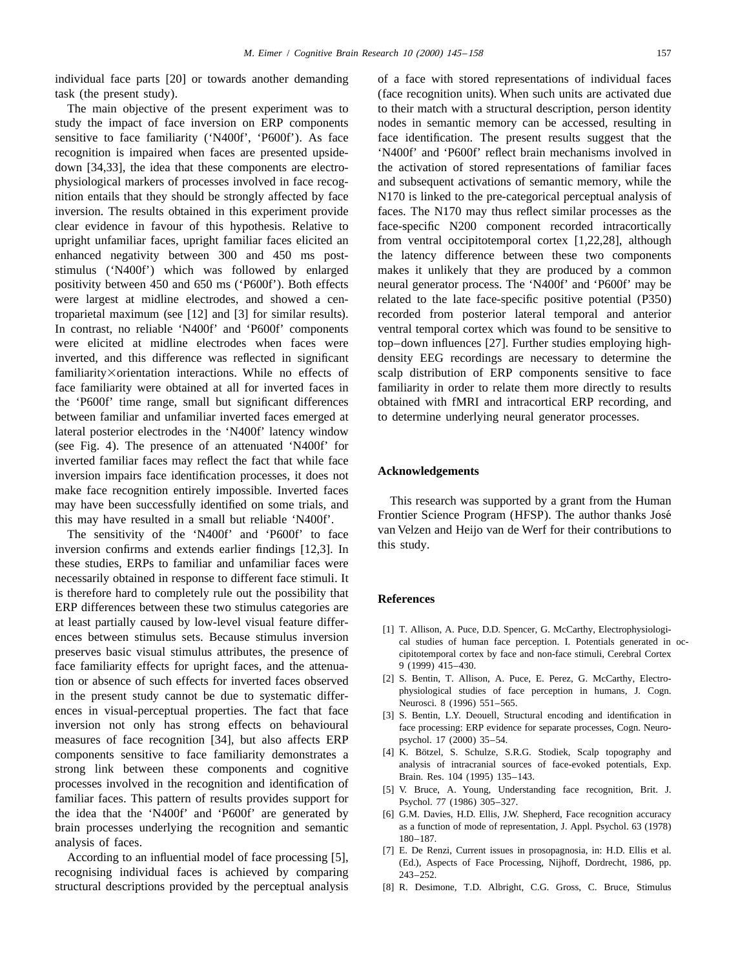individual face parts [20] or towards another demanding of a face with stored representations of individual faces

study the impact of face inversion on ERP components nodes in semantic memory can be accessed, resulting in sensitive to face familiarity ('N400f', 'P600f'). As face face identification. The present results suggest that the recognition is impaired when faces are presented upside- 'N400f' and 'P600f' reflect brain mechanisms involved in down [34,33], the idea that these components are electro- the activation of stored representations of familiar faces physiological markers of processes involved in face recog- and subsequent activations of semantic memory, while the nition entails that they should be strongly affected by face N170 is linked to the pre-categorical perceptual analysis of inversion. The results obtained in this experiment provide faces. The N170 may thus reflect similar processes as the clear evidence in favour of this hypothesis. Relative to face-specific N200 component recorded intracortically upright unfamiliar faces, upright familiar faces elicited an from ventral occipitotemporal cortex [1,22,28], although enhanced negativity between 300 and 450 ms post- the latency difference between these two components stimulus ('N400f') which was followed by enlarged makes it unlikely that they are produced by a common positivity between 450 and 650 ms ('P600f'). Both effects neural generator process. The 'N400f' and 'P600f' may be were largest at midline electrodes, and showed a cen-<br>related to the late face-specific positive potential (P350) troparietal maximum (see [12] and [3] for similar results). recorded from posterior lateral temporal and anterior In contrast, no reliable 'N400f' and 'P600f' components ventral temporal cortex which was found to be sensitive to were elicited at midline electrodes when faces were top–down influences [27]. Further studies employing highinverted, and this difference was reflected in significant density EEG recordings are necessary to determine the familiarity×orientation interactions. While no effects of scalp distribution of ERP components sensitive to face face familiarity were obtained at all for inverted faces in familiarity in order to relate them more directly to results the 'P600f' time range, small but significant differences obtained with fMRI and intracortical ERP recording, and between familiar and unfamiliar inverted faces emerged at to determine underlying neural generator processes. lateral posterior electrodes in the 'N400f' latency window (see Fig. 4). The presence of an attenuated 'N400f' for inverted familiar faces may reflect the fact that while face<br>inversion impairs face identification processes, it does not<br>**Acknowledgements** make face recognition entirely impossible. Inverted faces may have been successfully identified on some trials, and This research was supported by a grant from the Human<br>this may have resulted in a small but reliable 'N400f' Frontier Science Program (HFSP). The author thanks José

these studies, ERPs to familiar and unfamiliar faces were necessarily obtained in response to different face stimuli. It is therefore hard to completely rule out the possibility that **References** ERP differences between these two stimulus categories are at least partially caused by low-level visual feature differ-<br>ences between stimulus sets. Because stimulus inversion [1] T. Allison, A. Puce, D.D. Spencer, G. McCarthy, Electrophysiologi-<br>cal studies of human face percept preserves basic visual stimulus attributes, the presence of cipitotemporal cortex by face and non-face stimuli, Cerebral Cortex face familiarity effects for upright faces, and the attenua-<br>  $\frac{9(1999) 415-430}{2}$ . Bentin, T. Allison, A. Puce, E. Perez, G. McCarthy, Electro-<br>
[2] S. Bentin, T. Allison, A. Puce, E. Perez, G. McCarthy, Electrotion or absence of such effects for inverted faces observed<br>the second of tace perception in humans, J. Cogn.<br>physiological studies of face perception in humans, J. Cogn. in the present study cannot be due to systematic differ-<br>ences in visual-perceptual properties. The fact that face<br>[3] S. Bentin, L.Y. Deouell, Structural encoding and identification in inversion not only has strong effects on behavioural face processing: ERP evidence for separate processes, Cogn. Neuromeasures of face recognition [34], but also affects ERP psychol. 17 (2000) 35-54. components sensitive to face familiarity demonstrates a [4] K. Bötzel, S. Schulze, S.R.G. Stodiek, Scalp topography and components and cognitive and strong link between these components and cognitive and starting and stron strong link between these components and cognitive<br>processes involved in the recognition and identification of<br>[5] V. Bruce, A. Young, Understanding face recognition, Brit. J. familiar faces. This pattern of results provides support for Psychol. 77 (1986) 305-327. the idea that the 'N400f' and 'P600f' are generated by [6] G.M. Davies, H.D. Ellis, J.W. Shepherd, Face recognition accuracy brain processes underlying the recognition and semantic as a function of mode of representation, J. Appl. Psychol. 63 (1978)<br>180–187.

recognising individual faces is achieved by comparing  $_{243-252}$ . structural descriptions provided by the perceptual analysis [8] R. Desimone, T.D. Albright, C.G. Gross, C. Bruce, Stimulus

task (the present study). (face recognition units). When such units are activated due The main objective of the present experiment was to to their match with a structural description, person identity

this may have resulted in a small but reliable 'N400f'. Frontier Science Program (HFSP). The author thanks Jose<br>The sensitivity of the 'N400f' and 'P600f' to face van Velzen and Heijo van de Werf for their contributions to

- 
- 
- 
- 
- 
- 
- analysis of faces.<br>According to an influential model of face processing [5], [7] E. De Renzi, Current issues in prosopagnosia, in: H.D. Ellis et al.<br>(Ed.), Aspects of Face Processing, Nijhoff, Dordrecht, 1986, pp.
	-